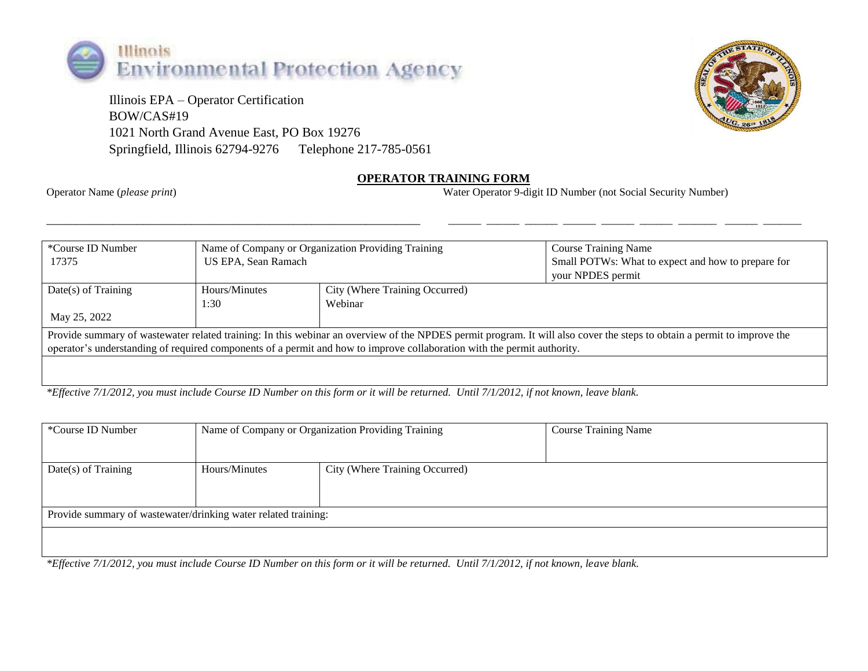

 Illinois EPA – Operator Certification BOW/CAS#19 1021 North Grand Avenue East, PO Box 19276 Springfield, Illinois 62794-9276 Telephone 217-785-0561



## **OPERATOR TRAINING FORM**

Operator Name (*please print*) Water Operator 9-digit ID Number (not Social Security Number)

| *Course ID Number<br>17375                                                                                                                                                                                                                                                                         | Name of Company or Organization Providing Training<br>US EPA, Sean Ramach |                                           | <b>Course Training Name</b><br>Small POTWs: What to expect and how to prepare for<br>your NPDES permit |
|----------------------------------------------------------------------------------------------------------------------------------------------------------------------------------------------------------------------------------------------------------------------------------------------------|---------------------------------------------------------------------------|-------------------------------------------|--------------------------------------------------------------------------------------------------------|
| $Date(s)$ of Training                                                                                                                                                                                                                                                                              | Hours/Minutes<br>1:30                                                     | City (Where Training Occurred)<br>Webinar |                                                                                                        |
| May 25, 2022                                                                                                                                                                                                                                                                                       |                                                                           |                                           |                                                                                                        |
| Provide summary of wastewater related training: In this webinar an overview of the NPDES permit program. It will also cover the steps to obtain a permit to improve the<br>operator's understanding of required components of a permit and how to improve collaboration with the permit authority. |                                                                           |                                           |                                                                                                        |
|                                                                                                                                                                                                                                                                                                    |                                                                           |                                           |                                                                                                        |

\_\_\_\_\_\_\_\_\_\_\_\_\_\_\_\_\_\_\_\_\_\_\_\_\_\_\_\_\_\_\_\_\_\_\_\_\_\_\_\_\_\_\_\_\_\_\_\_\_\_\_\_\_\_\_\_\_\_\_\_\_\_ \_\_\_\_\_\_ \_\_\_\_\_\_ \_\_\_\_\_\_ \_\_\_\_\_\_ \_\_\_\_\_\_ \_\_\_\_\_\_ \_\_\_\_\_\_\_ \_\_\_\_\_\_ \_\_\_\_\_\_\_

*\*Effective 7/1/2012, you must include Course ID Number on this form or it will be returned. Until 7/1/2012, if not known, leave blank.*

| *Course ID Number                                                                                                                                                                                                                                                                                                         | Name of Company or Organization Providing Training |                                | <b>Course Training Name</b> |
|---------------------------------------------------------------------------------------------------------------------------------------------------------------------------------------------------------------------------------------------------------------------------------------------------------------------------|----------------------------------------------------|--------------------------------|-----------------------------|
|                                                                                                                                                                                                                                                                                                                           |                                                    |                                |                             |
| $Date(s)$ of Training                                                                                                                                                                                                                                                                                                     | Hours/Minutes                                      | City (Where Training Occurred) |                             |
|                                                                                                                                                                                                                                                                                                                           |                                                    |                                |                             |
| Provide summary of wastewater/drinking water related training:                                                                                                                                                                                                                                                            |                                                    |                                |                             |
|                                                                                                                                                                                                                                                                                                                           |                                                    |                                |                             |
| .<br>$\cdots$<br>$\sim$ $\sim$ $\sim$ $\sim$<br>$\mathcal{L}$ , and a contract the contract of the contract of the contract of the contract of the contract of the contract of the contract of the contract of the contract of the contract of the contract of the contract of the<br>$\sim$ $ \sim$<br>$-111$<br>------- |                                                    |                                |                             |

*\*Effective 7/1/2012, you must include Course ID Number on this form or it will be returned. Until 7/1/2012, if not known, leave blank.*